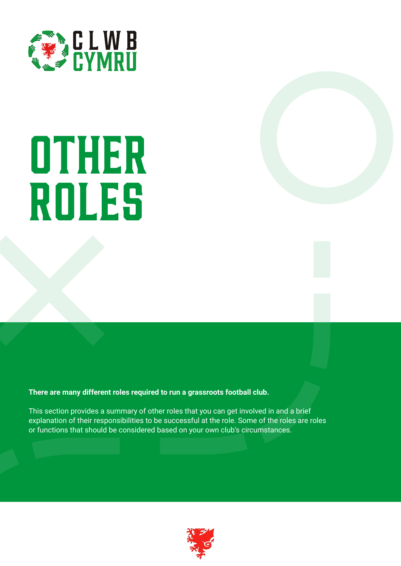

# **other roles**

**There are many different roles required to run a grassroots football club.**

This section provides a summary of other roles that you can get involved in and a brief explanation of their responsibilities to be successful at the role. Some of the roles are roles or functions that should be considered based on your own club's circumstances.